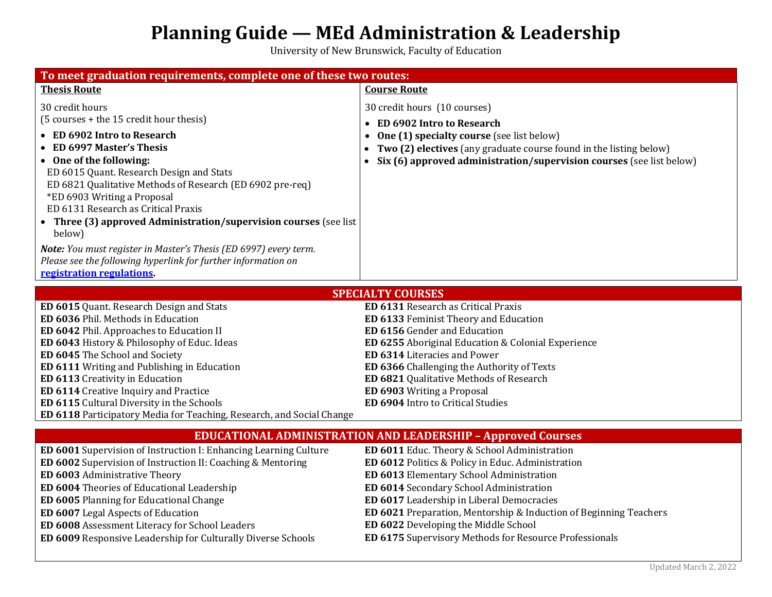## **Planning Guide — MEd Administration & Leadership**

University of New Brunswick, Faculty of Education

| To meet graduation requirements, complete one of these two routes:                                                                                                                                                                                                                                                                                                                                                                                                                                                                                        |                                                                                                                                                                                                                                                                                                                                                                |
|-----------------------------------------------------------------------------------------------------------------------------------------------------------------------------------------------------------------------------------------------------------------------------------------------------------------------------------------------------------------------------------------------------------------------------------------------------------------------------------------------------------------------------------------------------------|----------------------------------------------------------------------------------------------------------------------------------------------------------------------------------------------------------------------------------------------------------------------------------------------------------------------------------------------------------------|
| <b>Thesis Route</b>                                                                                                                                                                                                                                                                                                                                                                                                                                                                                                                                       | <b>Course Route</b>                                                                                                                                                                                                                                                                                                                                            |
| 30 credit hours<br>(5 courses + the 15 credit hour thesis)<br>• ED 6902 Intro to Research<br><b>ED 6997 Master's Thesis</b><br>• One of the following:<br>ED 6015 Quant. Research Design and Stats<br>ED 6821 Qualitative Methods of Research (ED 6902 pre-req)<br>*ED 6903 Writing a Proposal<br>ED 6131 Research as Critical Praxis<br>• Three (3) approved Administration/supervision courses (see list<br>below)<br>Note: You must register in Master's Thesis (ED 6997) every term.<br>Please see the following hyperlink for further information on | 30 credit hours (10 courses)<br><b>ED 6902 Intro to Research</b><br><b>One (1) specialty course</b> (see list below)<br>Two (2) electives (any graduate course found in the listing below)<br>Six (6) approved administration/supervision courses (see list below)                                                                                             |
| registration regulations                                                                                                                                                                                                                                                                                                                                                                                                                                                                                                                                  |                                                                                                                                                                                                                                                                                                                                                                |
| <b>SPECIALTY COURSES</b>                                                                                                                                                                                                                                                                                                                                                                                                                                                                                                                                  |                                                                                                                                                                                                                                                                                                                                                                |
| ED 6015 Quant. Research Design and Stats<br>ED 6036 Phil. Methods in Education<br>ED 6042 Phil. Approaches to Education II<br>ED 6043 History & Philosophy of Educ. Ideas<br>ED 6045 The School and Society<br>ED 6111 Writing and Publishing in Education<br>ED 6113 Creativity in Education<br>ED 6114 Creative Inquiry and Practice<br>ED 6115 Cultural Diversity in the Schools<br>ED 6118 Participatory Media for Teaching, Research, and Social Change                                                                                              | ED 6131 Research as Critical Praxis<br>ED 6133 Feminist Theory and Education<br>ED 6156 Gender and Education<br>ED 6255 Aboriginal Education & Colonial Experience<br>ED 6314 Literacies and Power<br>ED 6366 Challenging the Authority of Texts<br>ED 6821 Qualitative Methods of Research<br>ED 6903 Writing a Proposal<br>ED 6904 Intro to Critical Studies |
|                                                                                                                                                                                                                                                                                                                                                                                                                                                                                                                                                           | <b>EDUCATIONAL ADMINISTRATION AND LEADERSHIP - Approved Courses</b>                                                                                                                                                                                                                                                                                            |
| ED 6001 Supervision of Instruction I: Enhancing Learning Culture<br>ED 6002 Supervision of Instruction II: Coaching & Mentoring<br>ED 6003 Administrative Theory<br>ED 6004 Theories of Educational Leadership<br>ED 6005 Planning for Educational Change<br>ED 6007 Legal Aspects of Education<br>ED 6008 Assessment Literacy for School Leaders                                                                                                                                                                                                         | ED 6011 Educ. Theory & School Administration<br>ED 6012 Politics & Policy in Educ. Administration<br>ED 6013 Elementary School Administration<br>ED 6014 Secondary School Administration<br>ED 6017 Leadership in Liberal Democracies<br>ED 6021 Preparation, Mentorship & Induction of Beginning Teachers<br>ED 6022 Developing the Middle School             |
| ED 6009 Responsive Leadership for Culturally Diverse Schools                                                                                                                                                                                                                                                                                                                                                                                                                                                                                              | ED 6175 Supervisory Methods for Resource Professionals                                                                                                                                                                                                                                                                                                         |